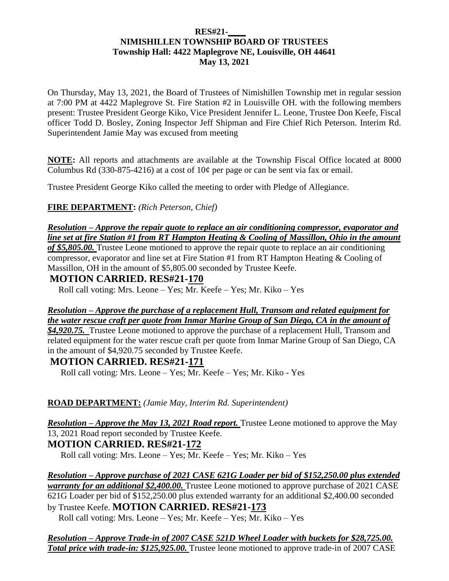#### **RES#21-\_\_\_\_ NIMISHILLEN TOWNSHIP BOARD OF TRUSTEES Township Hall: 4422 Maplegrove NE, Louisville, OH 44641 May 13, 2021**

On Thursday, May 13, 2021, the Board of Trustees of Nimishillen Township met in regular session at 7:00 PM at 4422 Maplegrove St. Fire Station #2 in Louisville OH. with the following members present: Trustee President George Kiko, Vice President Jennifer L. Leone, Trustee Don Keefe, Fiscal officer Todd D. Bosley, Zoning Inspector Jeff Shipman and Fire Chief Rich Peterson. Interim Rd. Superintendent Jamie May was excused from meeting

**NOTE:** All reports and attachments are available at the Township Fiscal Office located at 8000 Columbus Rd (330-875-4216) at a cost of  $10¢$  per page or can be sent via fax or email.

Trustee President George Kiko called the meeting to order with Pledge of Allegiance.

**FIRE DEPARTMENT:** *(Rich Peterson, Chief)*

*Resolution – Approve the repair quote to replace an air conditioning compressor, evaporator and line set at fire Station #1 from RT Hampton Heating & Cooling of Massillon, Ohio in the amount of \$5,805.00.* Trustee Leone motioned to approve the repair quote to replace an air conditioning compressor, evaporator and line set at Fire Station #1 from RT Hampton Heating & Cooling of Massillon, OH in the amount of \$5,805.00 seconded by Trustee Keefe.

## **MOTION CARRIED. RES#21-170**

Roll call voting: Mrs. Leone – Yes; Mr. Keefe – Yes; Mr. Kiko – Yes

### *Resolution – Approve the purchase of a replacement Hull, Transom and related equipment for the water rescue craft per quote from Inmar Marine Group of San Diego, CA in the amount of*

*\$4,920.75.* Trustee Leone motioned to approve the purchase of a replacement Hull, Transom and related equipment for the water rescue craft per quote from Inmar Marine Group of San Diego, CA in the amount of \$4,920.75 seconded by Trustee Keefe.

## **MOTION CARRIED. RES#21-171**

Roll call voting: Mrs. Leone – Yes; Mr. Keefe – Yes; Mr. Kiko - Yes

## **ROAD DEPARTMENT:** *(Jamie May, Interim Rd. Superintendent)*

*Resolution – Approve the May 13, 2021 Road report.* Trustee Leone motioned to approve the May 13, 2021 Road report seconded by Trustee Keefe. **MOTION CARRIED. RES#21-172**

Roll call voting: Mrs. Leone – Yes; Mr. Keefe – Yes; Mr. Kiko – Yes

*Resolution – Approve purchase of 2021 CASE 621G Loader per bid of \$152,250.00 plus extended warranty for an additional \$2,400.00.* Trustee Leone motioned to approve purchase of 2021 CASE 621G Loader per bid of \$152,250.00 plus extended warranty for an additional \$2,400.00 seconded by Trustee Keefe. **MOTION CARRIED. RES#21-173**

Roll call voting: Mrs. Leone – Yes; Mr. Keefe – Yes; Mr. Kiko – Yes

*Resolution – Approve Trade-in of 2007 CASE 521D Wheel Loader with buckets for \$28,725.00. Total price with trade-in: \$125,925.00.* Trustee leone motioned to approve trade-in of 2007 CASE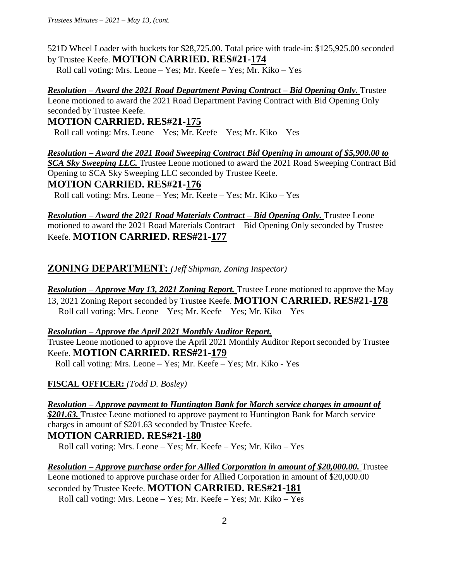521D Wheel Loader with buckets for \$28,725.00. Total price with trade-in: \$125,925.00 seconded by Trustee Keefe. **MOTION CARRIED. RES#21-174** 

Roll call voting: Mrs. Leone – Yes; Mr. Keefe – Yes; Mr. Kiko – Yes

*Resolution – Award the 2021 Road Department Paving Contract – Bid Opening Only.* Trustee Leone motioned to award the 2021 Road Department Paving Contract with Bid Opening Only seconded by Trustee Keefe.

## **MOTION CARRIED. RES#21-175**

Roll call voting: Mrs. Leone – Yes; Mr. Keefe – Yes; Mr. Kiko – Yes

*Resolution – Award the 2021 Road Sweeping Contract Bid Opening in amount of \$5,900.00 to*  **SCA Sky Sweeping LLC.** Trustee Leone motioned to award the 2021 Road Sweeping Contract Bid Opening to SCA Sky Sweeping LLC seconded by Trustee Keefe.

## **MOTION CARRIED. RES#21-176**

Roll call voting: Mrs. Leone – Yes; Mr. Keefe – Yes; Mr. Kiko – Yes

*Resolution – Award the 2021 Road Materials Contract – Bid Opening Only.* Trustee Leone motioned to award the 2021 Road Materials Contract – Bid Opening Only seconded by Trustee Keefe. **MOTION CARRIED. RES#21-177**

# **ZONING DEPARTMENT:** *(Jeff Shipman, Zoning Inspector)*

*Resolution – Approve May 13, 2021 Zoning Report.* Trustee Leone motioned to approve the May 13, 2021 Zoning Report seconded by Trustee Keefe. **MOTION CARRIED. RES#21-178** Roll call voting: Mrs. Leone – Yes; Mr. Keefe – Yes; Mr. Kiko – Yes

#### *Resolution – Approve the April 2021 Monthly Auditor Report.*

Trustee Leone motioned to approve the April 2021 Monthly Auditor Report seconded by Trustee Keefe. **MOTION CARRIED. RES#21-179**

Roll call voting: Mrs. Leone – Yes; Mr. Keefe – Yes; Mr. Kiko - Yes

## **FISCAL OFFICER:** *(Todd D. Bosley)*

*Resolution – Approve payment to Huntington Bank for March service charges in amount of \$201.63.* Trustee Leone motioned to approve payment to Huntington Bank for March service charges in amount of \$201.63 seconded by Trustee Keefe.

# **MOTION CARRIED. RES#21-180**

Roll call voting: Mrs. Leone – Yes; Mr. Keefe – Yes; Mr. Kiko – Yes

*Resolution – Approve purchase order for Allied Corporation in amount of \$20,000.00.* Trustee Leone motioned to approve purchase order for Allied Corporation in amount of \$20,000.00 seconded by Trustee Keefe. **MOTION CARRIED. RES#21-181**

Roll call voting: Mrs. Leone – Yes; Mr. Keefe – Yes; Mr. Kiko – Yes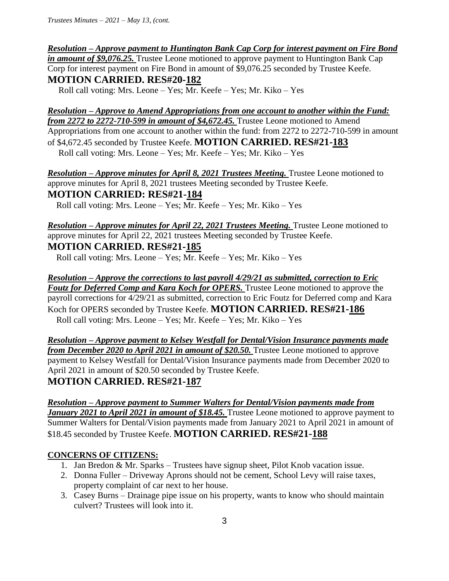*Resolution – Approve payment to Huntington Bank Cap Corp for interest payment on Fire Bond in amount of \$9,076.25.* Trustee Leone motioned to approve payment to Huntington Bank Cap Corp for interest payment on Fire Bond in amount of \$9,076.25 seconded by Trustee Keefe. **MOTION CARRIED. RES#20-182**

Roll call voting: Mrs. Leone – Yes; Mr. Keefe – Yes; Mr. Kiko – Yes

*Resolution – Approve to Amend Appropriations from one account to another within the Fund: from 2272 to 2272-710-599 in amount of \$4,672.45.* Trustee Leone motioned to Amend Appropriations from one account to another within the fund: from 2272 to 2272-710-599 in amount of \$4,672.45 seconded by Trustee Keefe. **MOTION CARRIED. RES#21-183** Roll call voting: Mrs. Leone – Yes; Mr. Keefe – Yes; Mr. Kiko – Yes

*Resolution – Approve minutes for April 8, 2021 Trustees Meeting.* Trustee Leone motioned to approve minutes for April 8, 2021 trustees Meeting seconded by Trustee Keefe. **MOTION CARRIED: RES#21-184**

Roll call voting: Mrs. Leone – Yes; Mr. Keefe – Yes; Mr. Kiko – Yes

# *Resolution – Approve minutes for April 22, 2021 Trustees Meeting.* Trustee Leone motioned to approve minutes for April 22, 2021 trustees Meeting seconded by Trustee Keefe. **MOTION CARRIED. RES#21-185**

Roll call voting: Mrs. Leone – Yes; Mr. Keefe – Yes; Mr. Kiko – Yes

*Resolution – Approve the corrections to last payroll 4/29/21 as submitted, correction to Eric Foutz for Deferred Comp and Kara Koch for OPERS.* Trustee Leone motioned to approve the payroll corrections for 4/29/21 as submitted, correction to Eric Foutz for Deferred comp and Kara Koch for OPERS seconded by Trustee Keefe. **MOTION CARRIED. RES#21-186**  Roll call voting: Mrs. Leone – Yes; Mr. Keefe – Yes; Mr. Kiko – Yes

*Resolution – Approve payment to Kelsey Westfall for Dental/Vision Insurance payments made from December 2020 to April 2021 in amount of \$20.50.* Trustee Leone motioned to approve payment to Kelsey Westfall for Dental/Vision Insurance payments made from December 2020 to April 2021 in amount of \$20.50 seconded by Trustee Keefe. **MOTION CARRIED. RES#21-187** 

### *Resolution – Approve payment to Summer Walters for Dental/Vision payments made from January 2021 to April 2021 in amount of \$18.45.* Trustee Leone motioned to approve payment to Summer Walters for Dental/Vision payments made from January 2021 to April 2021 in amount of \$18.45 seconded by Trustee Keefe. **MOTION CARRIED. RES#21-188**

## **CONCERNS OF CITIZENS:**

- 1. Jan Bredon & Mr. Sparks Trustees have signup sheet, Pilot Knob vacation issue.
- 2. Donna Fuller Driveway Aprons should not be cement, School Levy will raise taxes, property complaint of car next to her house.
- 3. Casey Burns Drainage pipe issue on his property, wants to know who should maintain culvert? Trustees will look into it.